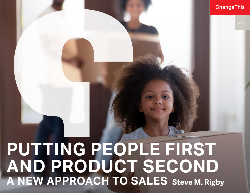### **ChangeThis**

# **PUTTING PEOPLE FIRST AND PRODUCT SECOND A NEW APPROACH TO SALES Steve M. Rigby**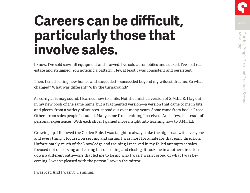## **Careers can be difficult, particularly those that involve sales.**

I know. I've sold sawmill equipment and starved. I've sold automobiles and sucked. I've sold real estate and struggled. You noticing a pattern? Hey, at least I was consistent and persistent.

Then, I tried selling new homes and succeeded—succeeded beyond my wildest dreams. So what changed? What was different? Why the turnaround?

As corny as it may sound, I learned how to smile. Not the finished version of S.M.I.L.E. I lay out in my new book of the same name, but a fragmented version—a version that came to me in bits and pieces, from a variety of sources, spread out over many years. Some came from books I read. Others from sales people I studied. Many came from training I received. And a few, the result of personal experiences. With each sliver I gained more insight into learning how to S.M.I.L.E.

Growing up, I followed the Golden Rule. I was taught to always take the high road with everyone and everything. I focused on serving and caring. I was most fortunate for that early direction. Unfortunately, much of the knowledge and training I received in my failed attempts at sales focused not on serving and caring but on selling and closing. It took me in another direction down a different path—one that led me to losing who I was. I wasn't proud of what I was becoming. I wasn't pleased with the person I saw in the mirror.

I was lost. And I wasn't ... smiling.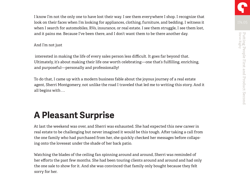I know I'm not the only one to have lost their way. I see them everywhere I shop. I recognize that look on their faces when I'm looking for appliances, clothing, furniture, and bedding. I witness it when I search for automobiles, RVs, insurance, or real estate. I see them struggle, I see them lost, and it pains me. Because I've been there, and I don't want them to be there another day.

### And I'm not just

 interested in making the life of every sales person less difficult. It goes far beyond that. Ultimately, it's about making their life one worth celebrating—one that's fulfilling, enriching, and purposeful—personally and professionally!

To do that, I came up with a modern business fable about the joyous journey of a real estate agent, Sherri Montgomery, not unlike the road I traveled that led me to writing this story. And it all begins with ...

## **A Pleasant Surprise**

At last the weekend was over, and Sherri was exhausted. She had expected this new career in real estate to be challenging but never imagined it would be this tough. After taking a call from the one family who had purchased from her, she quickly checked her messages before collapsing onto the loveseat under the shade of her back patio.

Watching the blades of the ceiling fan spinning around and around, Sherri was reminded of her efforts the past few months. She had been touring clients around and around and had only the one sale to show for it. And she was convinced that family only bought because they felt sorry for her.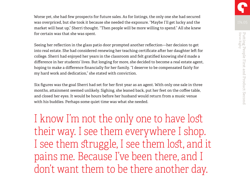Worse yet, she had few prospects for future sales. As for listings, the only one she had secured was overpriced, but she took it because she needed the exposure. "Maybe I'll get lucky and the market will heat up," Sherri thought. "Then people will be more willing to spend." All she knew for certain was that she was spent.

Seeing her reflection in the glass patio door prompted another reflection—her decision to get into real estate. She had considered renewing her teaching certificate after her daughter left for college. Sherri had enjoyed her years in the classroom and felt gratified knowing she'd made a difference in her students' lives. But longing for more, she decided to become a real estate agent, hoping to make a difference financially for her family. "I deserve to be compensated fairly for my hard work and dedication," she stated with conviction.

Six figures was the goal Sherri had set for her first year as an agent. With only one sale in three months, attainment seemed unlikely. Sighing, she leaned back, put her feet on the coffee table, and closed her eyes. It would be hours before her husband would return from a music venue with his buddies. Perhaps some quiet time was what she needed.

I know I'm not the only one to have lost their way. I see them everywhere I shop. I see them struggle, I see them lost, and it pains me. Because I've been there, and I don't want them to be there another day.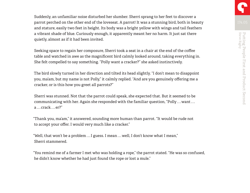Suddenly, an unfamiliar noise disturbed her slumber. Sherri sprang to her feet to discover a parrot perched on the other end of the loveseat. A parrot! It was a stunning bird, both in beauty and stature, easily two feet in height. Its body was a bright yellow with wings and tail feathers a vibrant shade of blue. Curiously enough, it apparently meant her no harm. It just sat there quietly, almost as if it had been invited.

Seeking space to regain her composure, Sherri took a seat in a chair at the end of the coffee table and watched in awe as the magnificent bird calmly looked around, taking everything in. She felt compelled to say something. "Polly want a cracker?" she asked instinctively.

The bird slowly turned in her direction and tilted its head slightly. "I don't mean to disappoint you, ma'am, but my name is not Polly," it calmly replied. "And are you genuinely offering me a cracker, or is this how you greet all parrots?"

Sherri was stunned. Not that the parrot could speak, she expected that. But it seemed to be communicating with her. Again she responded with the familiar question, "Polly ... want ... a . . . crack . . . er?"

"Thank you, ma'am," it answered, sounding more human than parrot. "It would be rude not to accept your offer. I would very much like a cracker."

"Well, that won't be a problem ... I guess. I mean ... well, I don't know what I mean," Sherri stammered.

"You remind me of a farmer I met who was holding a rope," the parrot stated. "He was so confused, he didn't know whether he had just found the rope or lost a mule."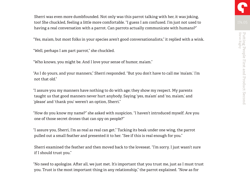Sherri was even more dumbfounded. Not only was this parrot talking with her, it was joking, too! She chuckled, feeling a little more comfortable. "I guess I am confused. I'm just not used to having a real conversation with a parrot. Can parrots actually communicate with humans?"

"Yes, ma'am, but most folks in your species aren't good conversationalists," it replied with a wink.

"Well, perhaps I am part parrot," she chuckled.

"Who knows, you might be. And I love your sense of humor, ma'am."

"As I do yours, and your manners," Sherri responded. "But you don't have to call me 'ma'am.' I'm not that old."

"I assure you my manners have nothing to do with age; they show my respect. My parents taught us that good manners never hurt anybody. Saying 'yes, ma'am' and 'no, ma'am,' and 'please' and 'thank you' weren't an option, Sherri."

"How do you know my name?" she asked with suspicion. "I haven't introduced myself. Are you one of those secret drones that can spy on people?"

"I assure you, Sherri, I'm as real as real can get." Tucking its beak under one wing, the parrot pulled out a small feather and presented it to her. "See if this is real enough for you."

Sherri examined the feather and then moved back to the loveseat. "I'm sorry. I just wasn't sure if I should trust you."

"No need to apologize. After all, we just met. It's important that you trust me, just as I must trust you. Trust is the most important thing in any relationship," the parrot explained. "Now as for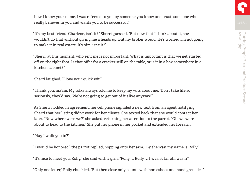how I know your name, I was referred to you by someone you know and trust, someone who really believes in you and wants you to be successful."

"It's my best friend, Charlene, isn't it?" Sherri guessed. "But now that I think about it, she wouldn't do that without giving me a heads up. But my broker would. He's worried I'm not going to make it in real estate. It's him, isn't it?"

"Sherri, at this moment, who sent me is not important. What is important is that we get started off on the right foot. Is that offer for a cracker still on the table, or is it in a box somewhere in a kitchen cabinet?"

Sherri laughed. "I love your quick wit."

"Thank you, ma'am. My folks always told me to keep my wits about me. 'Don't take life so seriously,' they'd say. 'We're not going to get out of it alive anyway!'"

As Sherri nodded in agreement, her cell phone signaled a new text from an agent notifying Sherri that her listing didn't work for her clients. She texted back that she would contact her later. "Now where were we?" she asked, returning her attention to the parrot. "Oh, we were about to head to the kitchen." She put her phone in her pocket and extended her forearm.

"May I walk you in?"

"I would be honored," the parrot replied, hopping onto her arm. "By the way, my name is Rolly."

"It's nice to meet you, Rolly," she said with a grin. "Polly ... Rolly ... I wasn't far off, was I?"

"Only one letter," Rolly chuckled. "But then close only counts with horseshoes and hand grenades."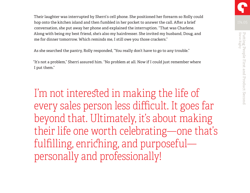Their laughter was interrupted by Sherri's cell phone. She positioned her forearm so Rolly could hop onto the kitchen island and then fumbled in her pocket to answer the call. After a brief conversation, she put away her phone and explained the interruption. "That was Charlene. Along with being my best friend, she's also my hairdresser. She invited my husband, Doug, and me for dinner tomorrow. Which reminds me, I still owe you those crackers."

As she searched the pantry, Rolly responded, "You really don't have to go to any trouble."

"It's not a problem," Sherri assured him. "No problem at all. Now if I could just remember where I put them."

I'm not interested in making the life of every sales person less difficult. It goes far beyond that. Ultimately, it's about making their life one worth celebrating—one that's fulfilling, enriching, and purposeful personally and professionally!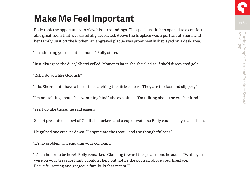### **Make Me Feel Important**

Rolly took the opportunity to view his surroundings. The spacious kitchen opened to a comfortable great room that was tastefully decorated. Above the fireplace was a portrait of Sherri and her family. Just off the kitchen, an engraved plaque was prominently displayed on a desk area.

"I'm admiring your beautiful home," Rolly stated.

"Just disregard the dust," Sherri yelled. Moments later, she shrieked as if she'd discovered gold.

"Rolly, do you like Goldfish?"

"I do, Sherri, but I have a hard time catching the little critters. They are too fast and slippery."

"I'm not talking about the swimming kind," she explained. "I'm talking about the cracker kind."

"Yes, I do like those," he said eagerly.

Sherri presented a bowl of Goldfish crackers and a cup of water so Rolly could easily reach them.

He gulped one cracker down. "I appreciate the treat—and the thoughtfulness."

"It's no problem. I'm enjoying your company."

"It's an honor to be here!" Rolly remarked. Glancing toward the great room, he added, "While you were on your treasure hunt, I couldn't help but notice the portrait above your fireplace. Beautiful setting and gorgeous family. Is that recent?"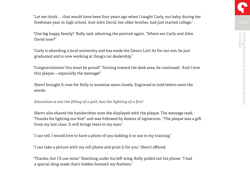"Let me think . . . that would have been four years ago when I taught Carly, our baby, during her freshman year in high school. And John David, her older brother, had just started college."

"One big happy family!" Rolly said, admiring the portrait again. "Where are Carly and John David now?"

"Carly is attending a local university and has made the Dean's List! As for our son, he just graduated and is now working at Doug's car dealership."

"Congratulations! You must be proud!" Turning toward the desk area, he continued, "And I love this plaque—especially the message!"

Sherri brought it over for Rolly to examine more closely. Engraved in bold letters were the words:

*Education is not the filling of a pail, but the lighting of a fire!*

Sherri also shared the handwritten note she displayed with the plaque. The message read, "Thanks for lighting our fire!" and was followed by dozens of signatures. "The plaque was a gift from my last class. It still brings tears to my eyes."

"I can tell. I would love to have a photo of you holding it to use in my training."

"I can take a picture with my cell phone and print it for you," Sherri offered.

"Thanks, but I'll use mine." Reaching under his left wing, Rolly pulled out his phone. "I had a special sling made that's hidden beneath my feathers."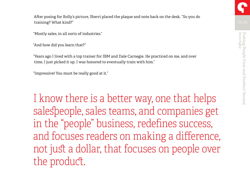After posing for Rolly's picture, Sherri placed the plaque and note back on the desk. "So you do training? What kind?"

"Mostly sales, in all sorts of industries."

"And how did you learn that?"

"Years ago I lived with a top trainer for IBM and Dale Carnegie. He practiced on me, and over time, I just picked it up. I was honored to eventually train with him."

"Impressive! You must be really good at it."

I know there is a better way, one that helps sales people, sales teams, and companies get in the "people" business, redefines success, and focuses readers on making a difference, not just a dollar, that focuses on people over the product.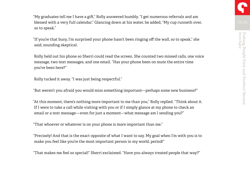"My graduates tell me I have a gift," Rolly answered humbly. "I get numerous referrals and am blessed with a very full calendar." Glancing down at his water, he added, "My cup runneth over, so to speak."

"If you're that busy, I'm surprised your phone hasn't been ringing off the wall, so to speak," she said, sounding skeptical.

Rolly held out his phone so Sherri could read the screen. She counted two missed calls, one voice message, two text messages, and one email. "Has your phone been on mute the entire time you've been here?"

Rolly tucked it away. "I was just being respectful."

"But weren't you afraid you would miss something important—perhaps some new business?"

"At this moment, there's nothing more important to me than you," Rolly replied. "Think about it. If I were to take a call while visiting with you or if I simply glance at my phone to check an email or a text message—even for just a moment—what message am I sending you?"

"That whoever or whatever is on your phone is more important than me."

"Precisely! And that is the exact opposite of what I want to say. My goal when I'm with you is to make you feel like you're the most important person in my world, period!"

"That makes me feel so special!" Sherri exclaimed. "Have you always treated people that way?"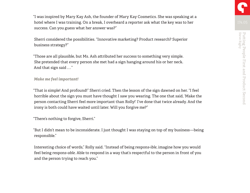"I was inspired by Mary Kay Ash, the founder of Mary Kay Cosmetics. She was speaking at a hotel where I was training. On a break, I overheard a reporter ask what the key was to her success. Can you guess what her answer was?"

Sherri considered the possibilities. "Innovative marketing? Product research? Superior business strategy?"

"Those are all plausible, but Ms. Ash attributed her success to something very simple. She pretended that every person she met had a sign hanging around his or her neck. And that sign said ..."

### *Make me feel important!*

"That is simple! And profound!" Sherri cried. Then the lesson of the sign dawned on her. "I feel horrible about the sign you must have thought I saw you wearing. The one that said, 'Make the person contacting Sherri feel more important than Rolly!' I've done that twice already. And the irony is both could have waited until later. Will you forgive me?"

"There's nothing to forgive, Sherri."

"But I didn't mean to be inconsiderate. I just thought I was staying on top of my business—being responsible."

Interesting choice of words," Rolly said. "Instead of being respons-*ible*, imagine how you would feel being respons-*able*. Able to respond in a way that's respectful to the person in front of you and the person trying to reach you."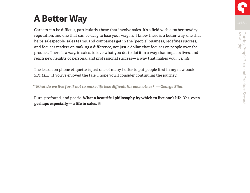### **A Better Way**

Careers can be difficult, particularly those that involve sales. It's a field with a rather tawdry reputation, and one that can be easy to lose your way in. I know there is a better way, one that helps salespeople, sales teams, and companies get in the "people" business, redefines success, and focuses readers on making a difference, not just a dollar, that focuses on people over the product. There is a way, in sales, to love what you do, to doi it in a way that impacts lives, and reach new heights of personal and professional success—a way that makes you . . . *smile*.

The lesson on phone etiquette is just one of many I offer to put people first in my new book, *S.M.I.L.E.* If you've enjoyed the tale, I hope you'll consider continuing the journey.

*"'What do we live for if not to make life less difficult for each other?' — George Eliot*

Pure, profound, and poetic. **What a beautiful philosophy by which to live one's life. Yes, even perhaps especially — a life in sales.**